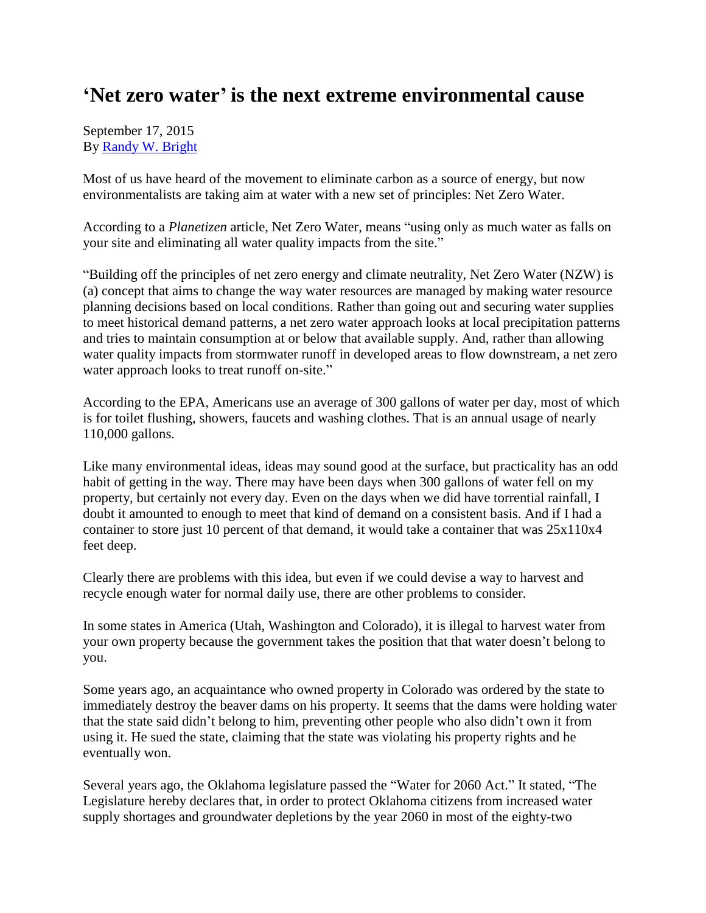## **'Net zero water' is the next extreme environmental cause**

September 17, 2015 By [Randy W. Bright](http://www.tulsabeacon.com/author/slug-o6yd1v)

Most of us have heard of the movement to eliminate carbon as a source of energy, but now environmentalists are taking aim at water with a new set of principles: Net Zero Water.

According to a *Planetizen* article, Net Zero Water, means "using only as much water as falls on your site and eliminating all water quality impacts from the site."

"Building off the principles of net zero energy and climate neutrality, Net Zero Water (NZW) is (a) concept that aims to change the way water resources are managed by making water resource planning decisions based on local conditions. Rather than going out and securing water supplies to meet historical demand patterns, a net zero water approach looks at local precipitation patterns and tries to maintain consumption at or below that available supply. And, rather than allowing water quality impacts from stormwater runoff in developed areas to flow downstream, a net zero water approach looks to treat runoff on-site."

According to the EPA, Americans use an average of 300 gallons of water per day, most of which is for toilet flushing, showers, faucets and washing clothes. That is an annual usage of nearly 110,000 gallons.

Like many environmental ideas, ideas may sound good at the surface, but practicality has an odd habit of getting in the way. There may have been days when 300 gallons of water fell on my property, but certainly not every day. Even on the days when we did have torrential rainfall, I doubt it amounted to enough to meet that kind of demand on a consistent basis. And if I had a container to store just 10 percent of that demand, it would take a container that was 25x110x4 feet deep.

Clearly there are problems with this idea, but even if we could devise a way to harvest and recycle enough water for normal daily use, there are other problems to consider.

In some states in America (Utah, Washington and Colorado), it is illegal to harvest water from your own property because the government takes the position that that water doesn't belong to you.

Some years ago, an acquaintance who owned property in Colorado was ordered by the state to immediately destroy the beaver dams on his property. It seems that the dams were holding water that the state said didn't belong to him, preventing other people who also didn't own it from using it. He sued the state, claiming that the state was violating his property rights and he eventually won.

Several years ago, the Oklahoma legislature passed the "Water for 2060 Act." It stated, "The Legislature hereby declares that, in order to protect Oklahoma citizens from increased water supply shortages and groundwater depletions by the year 2060 in most of the eighty-two